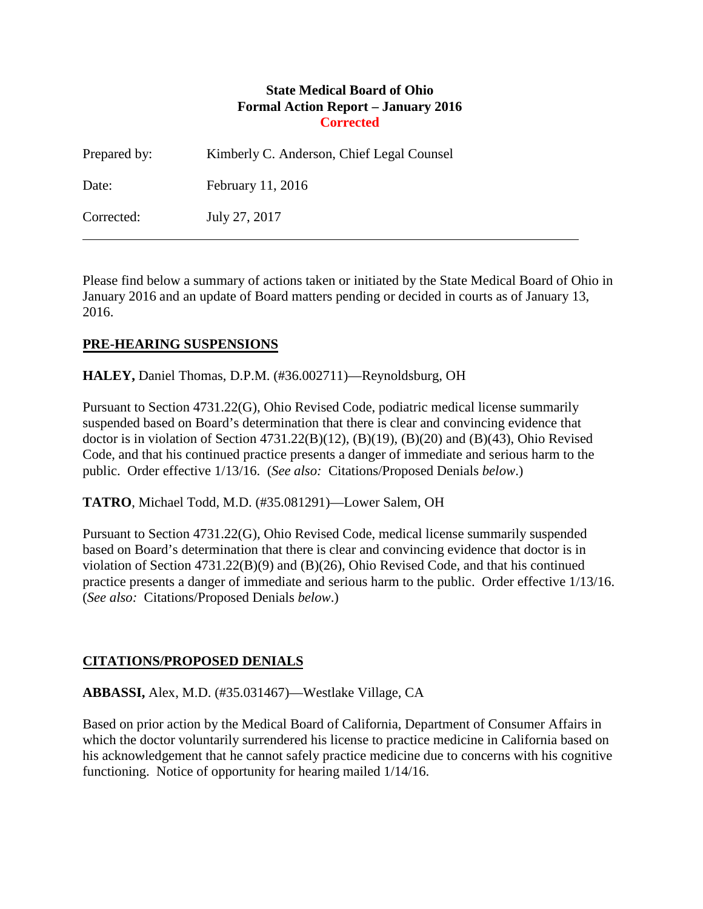### **State Medical Board of Ohio Formal Action Report – January 2016 Corrected**

| Prepared by: | Kimberly C. Anderson, Chief Legal Counsel |
|--------------|-------------------------------------------|
| Date:        | February 11, 2016                         |
| Corrected:   | July 27, 2017                             |

Please find below a summary of actions taken or initiated by the State Medical Board of Ohio in January 2016 and an update of Board matters pending or decided in courts as of January 13, 2016.

## **PRE-HEARING SUSPENSIONS**

**HALEY,** Daniel Thomas, D.P.M. (#36.002711)—Reynoldsburg, OH

Pursuant to Section 4731.22(G), Ohio Revised Code, podiatric medical license summarily suspended based on Board's determination that there is clear and convincing evidence that doctor is in violation of Section 4731.22(B)(12), (B)(19), (B)(20) and (B)(43), Ohio Revised Code, and that his continued practice presents a danger of immediate and serious harm to the public. Order effective 1/13/16. (*See also:* Citations/Proposed Denials *below*.)

**TATRO**, Michael Todd, M.D. (#35.081291)—Lower Salem, OH

Pursuant to Section 4731.22(G), Ohio Revised Code, medical license summarily suspended based on Board's determination that there is clear and convincing evidence that doctor is in violation of Section  $4731.22(B)(9)$  and  $(B)(26)$ , Ohio Revised Code, and that his continued practice presents a danger of immediate and serious harm to the public. Order effective 1/13/16. (*See also:* Citations/Proposed Denials *below*.)

## **CITATIONS/PROPOSED DENIALS**

**ABBASSI,** Alex, M.D. (#35.031467)—Westlake Village, CA

Based on prior action by the Medical Board of California, Department of Consumer Affairs in which the doctor voluntarily surrendered his license to practice medicine in California based on his acknowledgement that he cannot safely practice medicine due to concerns with his cognitive functioning. Notice of opportunity for hearing mailed 1/14/16.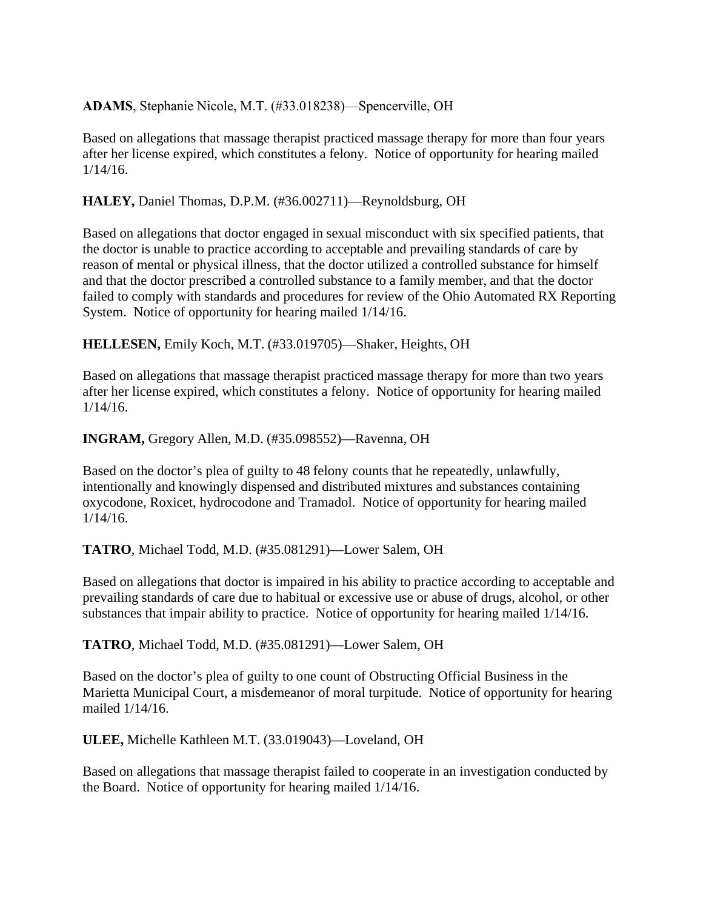**ADAMS**, Stephanie Nicole, M.T. (#33.018238)—Spencerville, OH

Based on allegations that massage therapist practiced massage therapy for more than four years after her license expired, which constitutes a felony. Notice of opportunity for hearing mailed 1/14/16.

**HALEY,** Daniel Thomas, D.P.M. (#36.002711)—Reynoldsburg, OH

Based on allegations that doctor engaged in sexual misconduct with six specified patients, that the doctor is unable to practice according to acceptable and prevailing standards of care by reason of mental or physical illness, that the doctor utilized a controlled substance for himself and that the doctor prescribed a controlled substance to a family member, and that the doctor failed to comply with standards and procedures for review of the Ohio Automated RX Reporting System. Notice of opportunity for hearing mailed 1/14/16.

**HELLESEN,** Emily Koch, M.T. (#33.019705)—Shaker, Heights, OH

Based on allegations that massage therapist practiced massage therapy for more than two years after her license expired, which constitutes a felony. Notice of opportunity for hearing mailed 1/14/16.

**INGRAM,** Gregory Allen, M.D. (#35.098552)—Ravenna, OH

Based on the doctor's plea of guilty to 48 felony counts that he repeatedly, unlawfully, intentionally and knowingly dispensed and distributed mixtures and substances containing oxycodone, Roxicet, hydrocodone and Tramadol. Notice of opportunity for hearing mailed 1/14/16.

**TATRO**, Michael Todd, M.D. (#35.081291)—Lower Salem, OH

Based on allegations that doctor is impaired in his ability to practice according to acceptable and prevailing standards of care due to habitual or excessive use or abuse of drugs, alcohol, or other substances that impair ability to practice. Notice of opportunity for hearing mailed 1/14/16.

**TATRO**, Michael Todd, M.D. (#35.081291)—Lower Salem, OH

Based on the doctor's plea of guilty to one count of Obstructing Official Business in the Marietta Municipal Court, a misdemeanor of moral turpitude. Notice of opportunity for hearing mailed 1/14/16.

**ULEE,** Michelle Kathleen M.T. (33.019043)—Loveland, OH

Based on allegations that massage therapist failed to cooperate in an investigation conducted by the Board. Notice of opportunity for hearing mailed 1/14/16.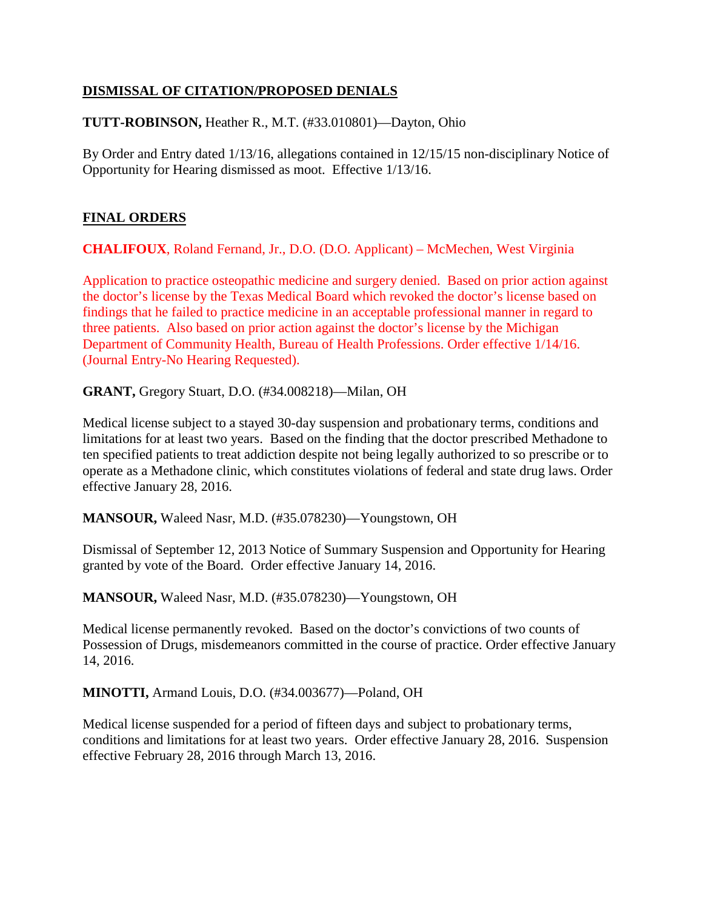## **DISMISSAL OF CITATION/PROPOSED DENIALS**

## **TUTT-ROBINSON,** Heather R., M.T. (#33.010801)—Dayton, Ohio

By Order and Entry dated 1/13/16, allegations contained in 12/15/15 non-disciplinary Notice of Opportunity for Hearing dismissed as moot. Effective 1/13/16.

## **FINAL ORDERS**

**CHALIFOUX**, Roland Fernand, Jr., D.O. (D.O. Applicant) – McMechen, West Virginia

Application to practice osteopathic medicine and surgery denied. Based on prior action against the doctor's license by the Texas Medical Board which revoked the doctor's license based on findings that he failed to practice medicine in an acceptable professional manner in regard to three patients. Also based on prior action against the doctor's license by the Michigan Department of Community Health, Bureau of Health Professions. Order effective 1/14/16. (Journal Entry-No Hearing Requested).

**GRANT,** Gregory Stuart, D.O. (#34.008218)—Milan, OH

Medical license subject to a stayed 30-day suspension and probationary terms, conditions and limitations for at least two years. Based on the finding that the doctor prescribed Methadone to ten specified patients to treat addiction despite not being legally authorized to so prescribe or to operate as a Methadone clinic, which constitutes violations of federal and state drug laws. Order effective January 28, 2016.

**MANSOUR,** Waleed Nasr, M.D. (#35.078230)—Youngstown, OH

Dismissal of September 12, 2013 Notice of Summary Suspension and Opportunity for Hearing granted by vote of the Board. Order effective January 14, 2016.

**MANSOUR,** Waleed Nasr, M.D. (#35.078230)—Youngstown, OH

Medical license permanently revoked. Based on the doctor's convictions of two counts of Possession of Drugs, misdemeanors committed in the course of practice. Order effective January 14, 2016.

**MINOTTI,** Armand Louis, D.O. (#34.003677)—Poland, OH

Medical license suspended for a period of fifteen days and subject to probationary terms, conditions and limitations for at least two years. Order effective January 28, 2016. Suspension effective February 28, 2016 through March 13, 2016.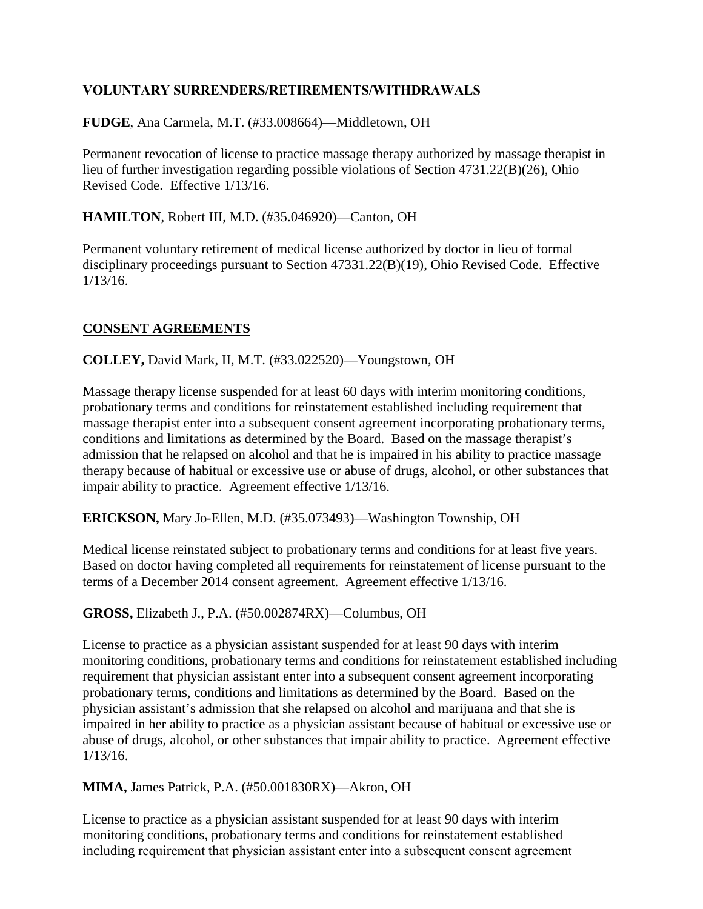# **VOLUNTARY SURRENDERS/RETIREMENTS/WITHDRAWALS**

**FUDGE**, Ana Carmela, M.T. (#33.008664)—Middletown, OH

Permanent revocation of license to practice massage therapy authorized by massage therapist in lieu of further investigation regarding possible violations of Section 4731.22(B)(26), Ohio Revised Code. Effective 1/13/16.

### **HAMILTON**, Robert III, M.D. (#35.046920)—Canton, OH

Permanent voluntary retirement of medical license authorized by doctor in lieu of formal disciplinary proceedings pursuant to Section 47331.22(B)(19), Ohio Revised Code. Effective 1/13/16.

## **CONSENT AGREEMENTS**

**COLLEY,** David Mark, II, M.T. (#33.022520)—Youngstown, OH

Massage therapy license suspended for at least 60 days with interim monitoring conditions, probationary terms and conditions for reinstatement established including requirement that massage therapist enter into a subsequent consent agreement incorporating probationary terms, conditions and limitations as determined by the Board. Based on the massage therapist's admission that he relapsed on alcohol and that he is impaired in his ability to practice massage therapy because of habitual or excessive use or abuse of drugs, alcohol, or other substances that impair ability to practice. Agreement effective 1/13/16.

**ERICKSON,** Mary Jo-Ellen, M.D. (#35.073493)—Washington Township, OH

Medical license reinstated subject to probationary terms and conditions for at least five years. Based on doctor having completed all requirements for reinstatement of license pursuant to the terms of a December 2014 consent agreement. Agreement effective 1/13/16.

#### **GROSS,** Elizabeth J., P.A. (#50.002874RX)—Columbus, OH

License to practice as a physician assistant suspended for at least 90 days with interim monitoring conditions, probationary terms and conditions for reinstatement established including requirement that physician assistant enter into a subsequent consent agreement incorporating probationary terms, conditions and limitations as determined by the Board. Based on the physician assistant's admission that she relapsed on alcohol and marijuana and that she is impaired in her ability to practice as a physician assistant because of habitual or excessive use or abuse of drugs, alcohol, or other substances that impair ability to practice. Agreement effective 1/13/16.

**MIMA,** James Patrick, P.A. (#50.001830RX)—Akron, OH

License to practice as a physician assistant suspended for at least 90 days with interim monitoring conditions, probationary terms and conditions for reinstatement established including requirement that physician assistant enter into a subsequent consent agreement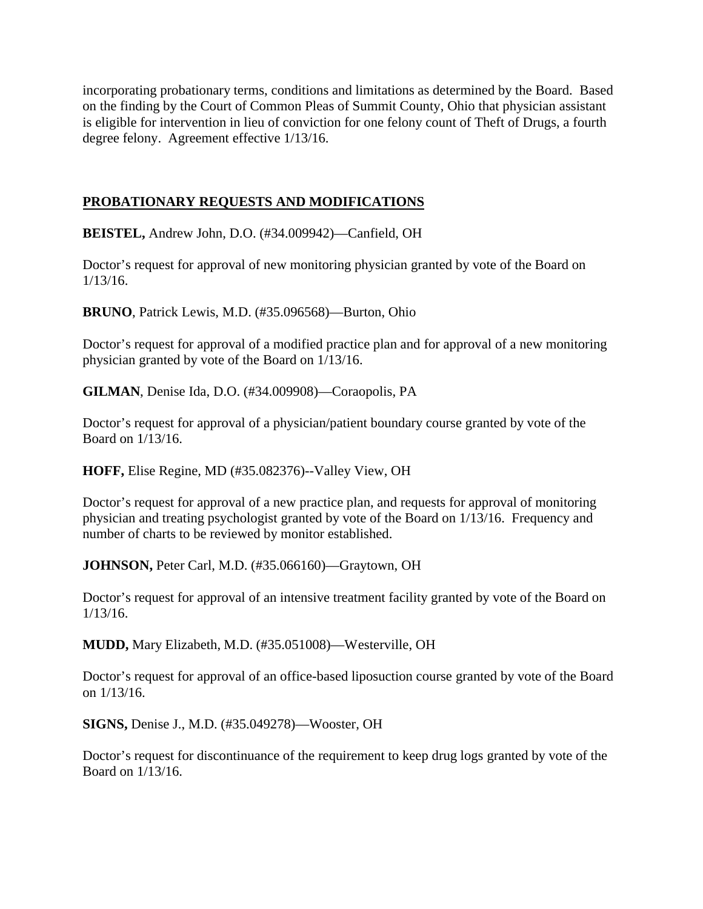incorporating probationary terms, conditions and limitations as determined by the Board. Based on the finding by the Court of Common Pleas of Summit County, Ohio that physician assistant is eligible for intervention in lieu of conviction for one felony count of Theft of Drugs, a fourth degree felony. Agreement effective 1/13/16.

## **PROBATIONARY REQUESTS AND MODIFICATIONS**

**BEISTEL,** Andrew John, D.O. (#34.009942)—Canfield, OH

Doctor's request for approval of new monitoring physician granted by vote of the Board on 1/13/16.

**BRUNO**, Patrick Lewis, M.D. (#35.096568)—Burton, Ohio

Doctor's request for approval of a modified practice plan and for approval of a new monitoring physician granted by vote of the Board on 1/13/16.

**GILMAN**, Denise Ida, D.O. (#34.009908)—Coraopolis, PA

Doctor's request for approval of a physician/patient boundary course granted by vote of the Board on 1/13/16.

**HOFF,** Elise Regine, MD (#35.082376)--Valley View, OH

Doctor's request for approval of a new practice plan, and requests for approval of monitoring physician and treating psychologist granted by vote of the Board on 1/13/16. Frequency and number of charts to be reviewed by monitor established.

**JOHNSON,** Peter Carl, M.D. (#35.066160)—Graytown, OH

Doctor's request for approval of an intensive treatment facility granted by vote of the Board on 1/13/16.

**MUDD,** Mary Elizabeth, M.D. (#35.051008)—Westerville, OH

Doctor's request for approval of an office-based liposuction course granted by vote of the Board on 1/13/16.

**SIGNS,** Denise J., M.D. (#35.049278)—Wooster, OH

Doctor's request for discontinuance of the requirement to keep drug logs granted by vote of the Board on 1/13/16.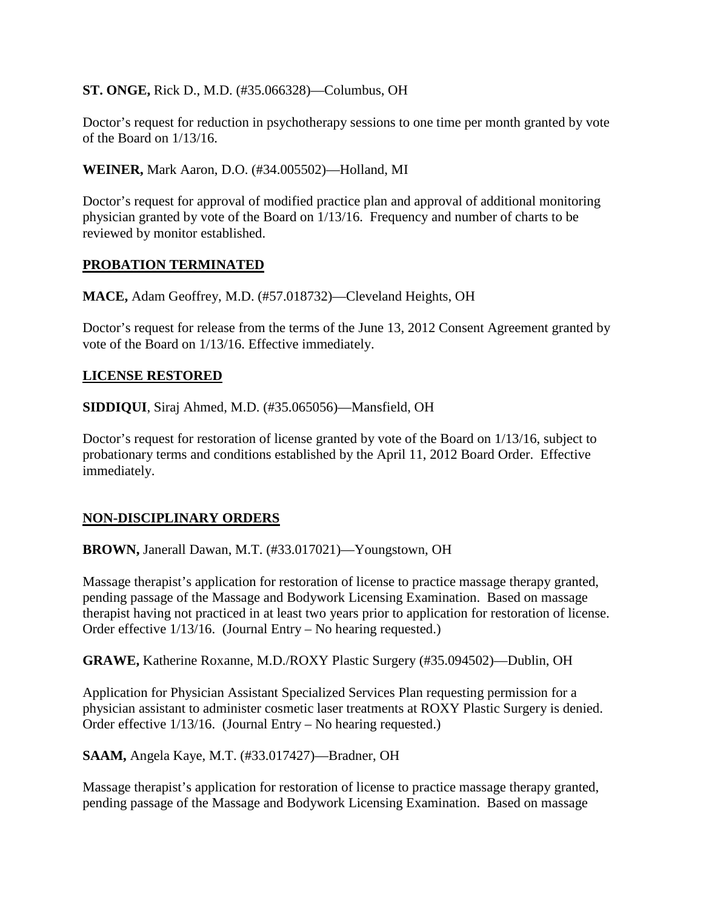**ST. ONGE,** Rick D., M.D. (#35.066328)—Columbus, OH

Doctor's request for reduction in psychotherapy sessions to one time per month granted by vote of the Board on 1/13/16.

**WEINER,** Mark Aaron, D.O. (#34.005502)—Holland, MI

Doctor's request for approval of modified practice plan and approval of additional monitoring physician granted by vote of the Board on 1/13/16. Frequency and number of charts to be reviewed by monitor established.

### **PROBATION TERMINATED**

**MACE,** Adam Geoffrey, M.D. (#57.018732)—Cleveland Heights, OH

Doctor's request for release from the terms of the June 13, 2012 Consent Agreement granted by vote of the Board on 1/13/16. Effective immediately.

### **LICENSE RESTORED**

**SIDDIQUI**, Siraj Ahmed, M.D. (#35.065056)—Mansfield, OH

Doctor's request for restoration of license granted by vote of the Board on 1/13/16, subject to probationary terms and conditions established by the April 11, 2012 Board Order. Effective immediately.

## **NON-DISCIPLINARY ORDERS**

**BROWN,** Janerall Dawan, M.T. (#33.017021)—Youngstown, OH

Massage therapist's application for restoration of license to practice massage therapy granted, pending passage of the Massage and Bodywork Licensing Examination. Based on massage therapist having not practiced in at least two years prior to application for restoration of license. Order effective 1/13/16. (Journal Entry – No hearing requested.)

**GRAWE,** Katherine Roxanne, M.D./ROXY Plastic Surgery (#35.094502)—Dublin, OH

Application for Physician Assistant Specialized Services Plan requesting permission for a physician assistant to administer cosmetic laser treatments at ROXY Plastic Surgery is denied. Order effective 1/13/16. (Journal Entry – No hearing requested.)

**SAAM,** Angela Kaye, M.T. (#33.017427)—Bradner, OH

Massage therapist's application for restoration of license to practice massage therapy granted, pending passage of the Massage and Bodywork Licensing Examination. Based on massage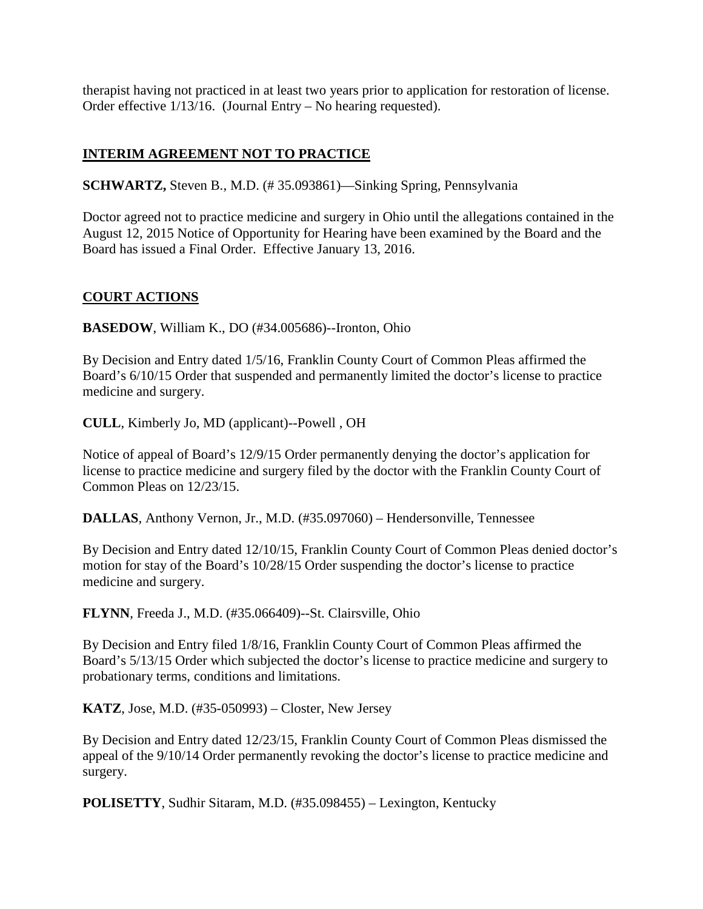therapist having not practiced in at least two years prior to application for restoration of license. Order effective 1/13/16. (Journal Entry – No hearing requested).

# **INTERIM AGREEMENT NOT TO PRACTICE**

**SCHWARTZ,** Steven B., M.D. (# 35.093861)—Sinking Spring, Pennsylvania

Doctor agreed not to practice medicine and surgery in Ohio until the allegations contained in the August 12, 2015 Notice of Opportunity for Hearing have been examined by the Board and the Board has issued a Final Order. Effective January 13, 2016.

### **COURT ACTIONS**

**BASEDOW**, William K., DO (#34.005686)--Ironton, Ohio

By Decision and Entry dated 1/5/16, Franklin County Court of Common Pleas affirmed the Board's 6/10/15 Order that suspended and permanently limited the doctor's license to practice medicine and surgery.

**CULL**, Kimberly Jo, MD (applicant)--Powell , OH

Notice of appeal of Board's 12/9/15 Order permanently denying the doctor's application for license to practice medicine and surgery filed by the doctor with the Franklin County Court of Common Pleas on 12/23/15.

**DALLAS**, Anthony Vernon, Jr., M.D. (#35.097060) – Hendersonville, Tennessee

By Decision and Entry dated 12/10/15, Franklin County Court of Common Pleas denied doctor's motion for stay of the Board's 10/28/15 Order suspending the doctor's license to practice medicine and surgery.

**FLYNN**, Freeda J., M.D. (#35.066409)--St. Clairsville, Ohio

By Decision and Entry filed 1/8/16, Franklin County Court of Common Pleas affirmed the Board's 5/13/15 Order which subjected the doctor's license to practice medicine and surgery to probationary terms, conditions and limitations.

**KATZ**, Jose, M.D. (#35-050993) – Closter, New Jersey

By Decision and Entry dated 12/23/15, Franklin County Court of Common Pleas dismissed the appeal of the 9/10/14 Order permanently revoking the doctor's license to practice medicine and surgery.

**POLISETTY**, Sudhir Sitaram, M.D. (#35.098455) – Lexington, Kentucky